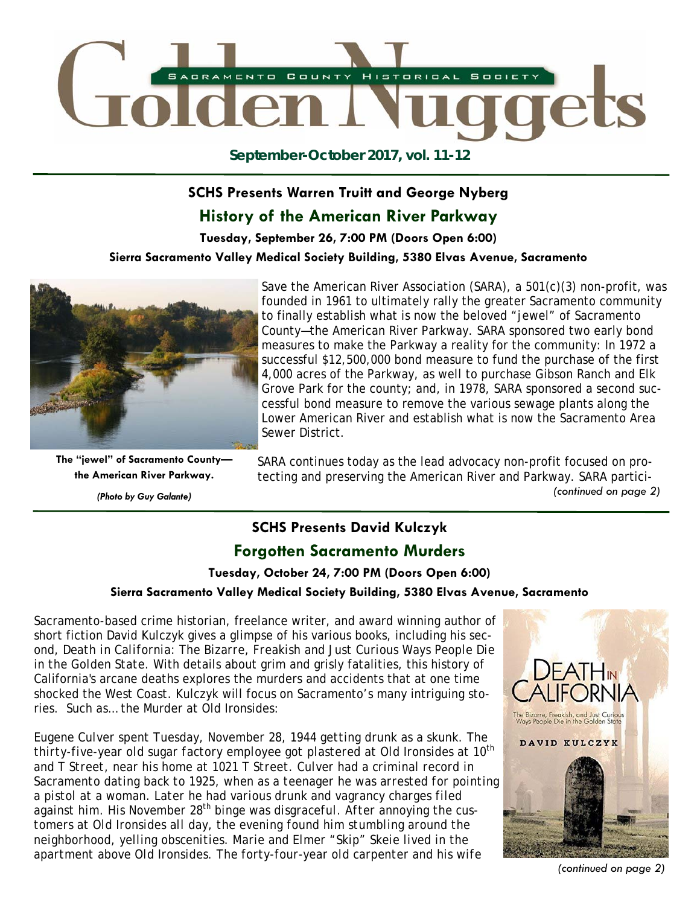

**September-October 2017, vol. 11-12** 

## **SCHS Presents Warren Truitt and George Nyberg**

## **History of the American River Parkway**

**Tuesday, September 26, 7:00 PM (Doors Open 6:00)** 

**Sierra Sacramento Valley Medical Society Building, 5380 Elvas Avenue, Sacramento** 



**The "jewel" of Sacramento County the American River Parkway.** 

Save the American River Association (SARA), a 501(c)(3) non-profit, was founded in 1961 to ultimately rally the greater Sacramento community to finally establish what is now the beloved "jewel" of Sacramento County—the American River Parkway. SARA sponsored two early bond measures to make the Parkway a reality for the community: In 1972 a successful \$12,500,000 bond measure to fund the purchase of the first 4,000 acres of the Parkway, as well to purchase Gibson Ranch and Elk Grove Park for the county; and, in 1978, SARA sponsored a second successful bond measure to remove the various sewage plants along the Lower American River and establish what is now the Sacramento Area Sewer District.

SARA continues today as the lead advocacy non-profit focused on protecting and preserving the American River and Parkway. SARA partici-*(Photo by Guy Galante) (continued on page 2)* 

## **SCHS Presents David Kulczyk Forgotten Sacramento Murders**

**Tuesday, October 24, 7:00 PM (Doors Open 6:00)** 

#### **Sierra Sacramento Valley Medical Society Building, 5380 Elvas Avenue, Sacramento**

Sacramento-based crime historian, freelance writer, and award winning author of short fiction David Kulczyk gives a glimpse of his various books, including his second, *Death in California: The Bizarre, Freakish and Just Curious Ways People Die in the Golden State*. With details about grim and grisly fatalities, this history of California's arcane deaths explores the murders and accidents that at one time shocked the West Coast. Kulczyk will focus on Sacramento's many intriguing stories. Such as… the Murder at Old Ironsides:

*Eugene Culver spent Tuesday, November 28, 1944 getting drunk as a skunk. The thirty-five-year old sugar factory employee got plastered at Old Ironsides at 10th and T Street, near his home at 1021 T Street. Culver had a criminal record in Sacramento dating back to 1925, when as a teenager he was arrested for pointing a pistol at a woman. Later he had various drunk and vagrancy charges filed against him. His November 28th binge was disgraceful. After annoying the customers at Old Ironsides all day, the evening found him stumbling around the neighborhood, yelling obscenities. Marie and Elmer "Skip" Skeie lived in the apartment above Old Ironsides. The forty-four-year old carpenter and his wife* 



*(continued on page 2)*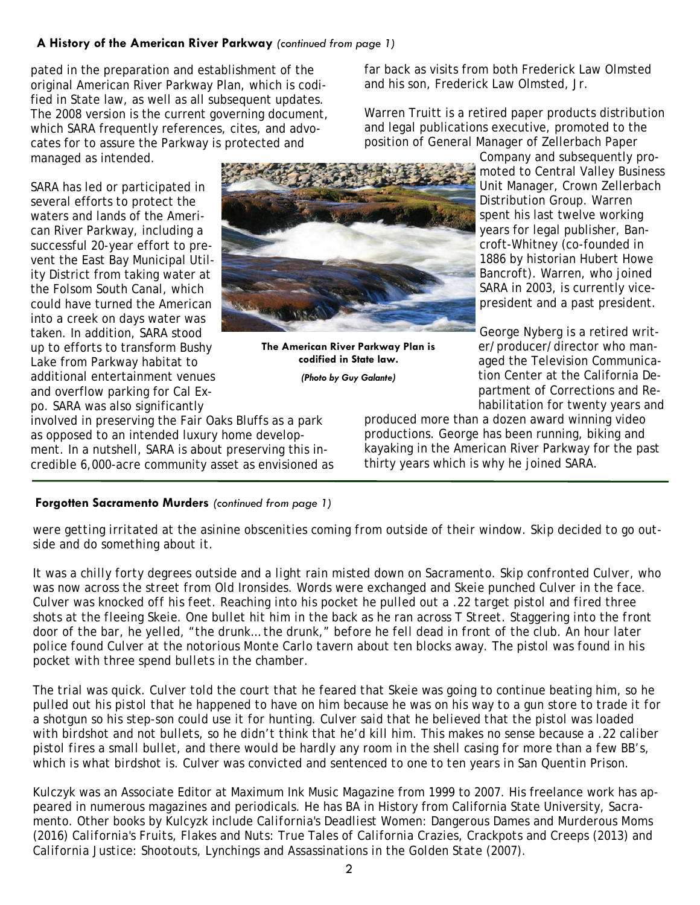### **A History of the American River Parkway** *(continued from page 1)*

pated in the preparation and establishment of the original American River Parkway Plan, which is codified in State law, as well as all subsequent updates. The 2008 version is the current governing document, which SARA frequently references, cites, and advocates for to assure the Parkway is protected and managed as intended.

SARA has led or participated in several efforts to protect the waters and lands of the American River Parkway, including a successful 20-year effort to prevent the East Bay Municipal Utility District from taking water at the Folsom South Canal, which could have turned the American into a creek on days water was taken. In addition, SARA stood up to efforts to transform Bushy Lake from Parkway habitat to additional entertainment venues and overflow parking for Cal Expo. SARA was also significantly



**The American River Parkway Plan is codified in State law.** 

*(Photo by Guy Galante)* 

far back as visits from both Frederick Law Olmsted and his son, Frederick Law Olmsted, Jr.

Warren Truitt is a retired paper products distribution and legal publications executive, promoted to the position of General Manager of Zellerbach Paper

Company and subsequently promoted to Central Valley Business Unit Manager, Crown Zellerbach Distribution Group. Warren spent his last twelve working years for legal publisher, Bancroft-Whitney (co-founded in 1886 by historian Hubert Howe Bancroft). Warren, who joined SARA in 2003, is currently vicepresident and a past president.

George Nyberg is a retired writer/producer/director who managed the Television Communication Center at the California Department of Corrections and Rehabilitation for twenty years and

produced more than a dozen award winning video productions. George has been running, biking and kayaking in the American River Parkway for the past thirty years which is why he joined SARA.

## **Forgotten Sacramento Murders** *(continued from page 1)*

involved in preserving the Fair Oaks Bluffs as a park as opposed to an intended luxury home development. In a nutshell, SARA is about preserving this incredible 6,000-acre community asset as envisioned as

*were getting irritated at the asinine obscenities coming from outside of their window. Skip decided to go outside and do something about it.* 

*It was a chilly forty degrees outside and a light rain misted down on Sacramento. Skip confronted Culver, who was now across the street from Old Ironsides. Words were exchanged and Skeie punched Culver in the face. Culver was knocked off his feet. Reaching into his pocket he pulled out a .22 target pistol and fired three shots at the fleeing Skeie. One bullet hit him in the back as he ran across T Street. Staggering into the front door of the bar, he yelled, "the drunk… the drunk," before he fell dead in front of the club. An hour later police found Culver at the notorious Monte Carlo tavern about ten blocks away. The pistol was found in his pocket with three spend bullets in the chamber.* 

*The trial was quick. Culver told the court that he feared that Skeie was going to continue beating him, so he pulled out his pistol that he happened to have on him because he was on his way to a gun store to trade it for a shotgun so his step-son could use it for hunting. Culver said that he believed that the pistol was loaded with birdshot and not bullets, so he didn't think that he'd kill him. This makes no sense because a .22 caliber pistol fires a small bullet, and there would be hardly any room in the shell casing for more than a few BB's, which is what birdshot is. Culver was convicted and sentenced to one to ten years in San Quentin Prison.* 

Kulczyk was an Associate Editor at Maximum Ink Music Magazine from 1999 to 2007. His freelance work has appeared in numerous magazines and periodicals. He has BA in History from California State University, Sacramento. Other books by Kulcyzk include *California's Deadliest Women: Dangerous Dames and Murderous Moms* (2016) *California's Fruits, Flakes and Nuts: True Tales of California Crazies, Crackpots and Creeps* (2013) and *California Justice: Shootouts, Lynchings and Assassinations in the Golden State (2007).*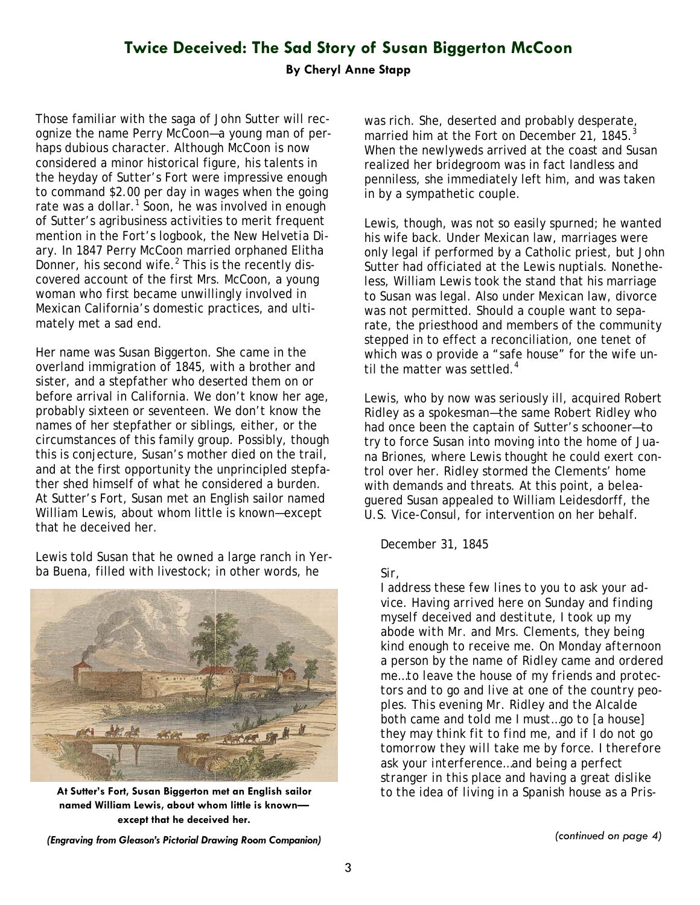## **Twice Deceived: The Sad Story of Susan Biggerton McCoon**

#### **By Cheryl Anne Stapp**

Those familiar with the saga of John Sutter will recognize the name Perry McCoon—a young man of perhaps dubious character. Although McCoon is now considered a minor historical figure, his talents in the heyday of Sutter's Fort were impressive enough to command \$2.00 per day in wages when the going rate was a dollar. $1$  Soon, he was involved in enough of Sutter's agribusiness activities to merit frequent mention in the Fort's logbook, the *New Helvetia Diary.* In 1847 Perry McCoon married orphaned Elitha Donner, his second wife. $<sup>2</sup>$  This is the recently dis-</sup> covered account of the first Mrs. McCoon, a young woman who first became unwillingly involved in Mexican California's domestic practices, and ultimately met a sad end.

Her name was Susan Biggerton. She came in the overland immigration of 1845, with a brother and sister, and a stepfather who deserted them on or before arrival in California. We don't know her age, probably sixteen or seventeen. We don't know the names of her stepfather or siblings, either, or the circumstances of this family group. Possibly, though this is conjecture, Susan's mother died on the trail, and at the first opportunity the unprincipled stepfather shed himself of what he considered a burden. At Sutter's Fort, Susan met an English sailor named William Lewis, about whom little is known—except that he deceived her.

Lewis told Susan that he owned a large ranch in Yerba Buena, filled with livestock; in other words, he



**named William Lewis, about whom little is known except that he deceived her.** 

was rich. She, deserted and probably desperate, married him at the Fort on December 21, 1845.<sup>3</sup> When the newlyweds arrived at the coast and Susan realized her bridegroom was in fact landless and penniless, she immediately left him, and was taken in by a sympathetic couple.

Lewis, though, was not so easily spurned; he wanted his wife back. Under Mexican law, marriages were only legal if performed by a Catholic priest, but John Sutter had officiated at the Lewis nuptials. Nonetheless, William Lewis took the stand that his marriage to Susan *was* legal. Also under Mexican law, divorce was not permitted. Should a couple want to separate, the priesthood and members of the community stepped in to effect a reconciliation, one tenet of which was o provide a "safe house" for the wife until the matter was settled.<sup>4</sup>

Lewis, who by now was seriously ill, acquired Robert Ridley as a spokesman—the same Robert Ridley who had once been the captain of Sutter's schooner—to try to force Susan into moving into the home of Juana Briones, where Lewis thought he could exert control over her. Ridley stormed the Clements' home with demands and threats. At this point, a beleaguered Susan appealed to William Leidesdorff, the U.S. Vice-Consul, for intervention on her behalf.

#### *December 31, 1845*

#### *Sir,*

*I address these few lines to you to ask your advice. Having arrived here on Sunday and finding myself deceived and destitute, I took up my abode with Mr. and Mrs. Clements, they being kind enough to receive me. On Monday afternoon a person by the name of Ridley came and ordered me…to leave the house of my friends and protectors and to go and live at one of the country peoples. This evening Mr. Ridley and the Alcalde both came and told me I must…go to [a house] they may think fit to find me, and if I do not go tomorrow they will take me by force. I therefore ask your interference…and being a perfect stranger in this place and having a great dislike*  **At Sutter's Fort, Susan Biggerton met an English sailor** *to the idea of living in a Spanish house as a Pris-*

*(Engraving from Gleason's Pictorial Drawing Room Companion) (continued on page 4)*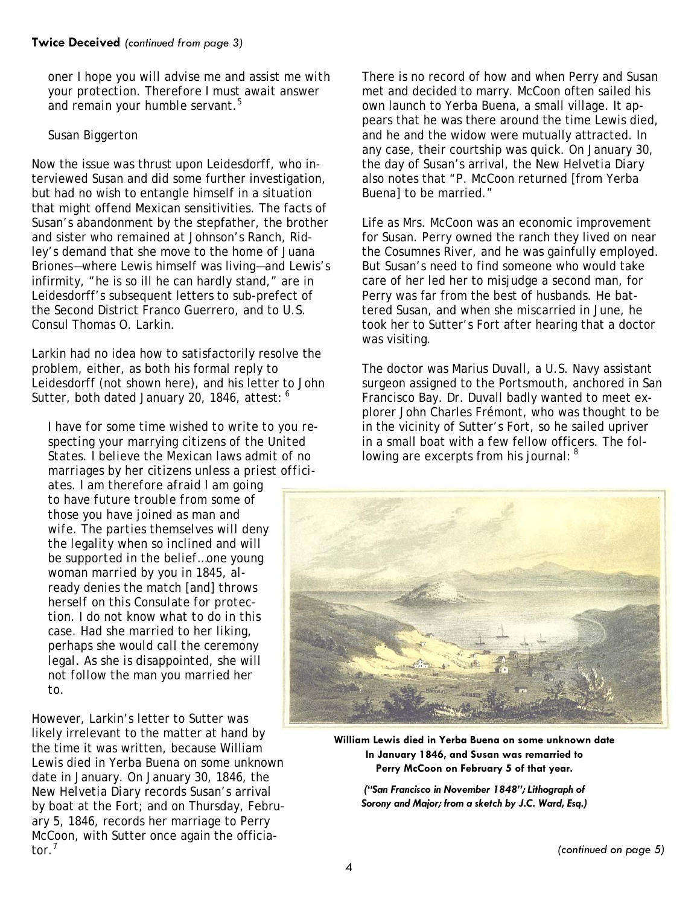*oner I hope you will advise me and assist me with your protection. Therefore I must await answer and remain your humble servant.5*

#### *Susan Biggerton*

Now the issue was thrust upon Leidesdorff, who interviewed Susan and did some further investigation, but had no wish to entangle himself in a situation that might offend Mexican sensitivities. The facts of Susan's abandonment by the stepfather, the brother and sister who remained at Johnson's Ranch, Ridley's demand that she move to the home of Juana Briones—where Lewis himself was living—and Lewis's infirmity, "he is so ill he can hardly stand," are in Leidesdorff's subsequent letters to sub-prefect of the Second District Franco Guerrero, and to U.S. Consul Thomas O. Larkin.

Larkin had no idea how to satisfactorily resolve the problem, either, as both his formal reply to Leidesdorff (not shown here), and his letter to John Sutter, both dated January 20, 1846, attest: 6

*I have for some time wished to write to you respecting your marrying citizens of the United States. I believe the Mexican laws admit of no marriages by her citizens unless a priest offici-*

*ates. I am therefore afraid I am going to have future trouble from some of those you have joined as man and wife. The parties themselves will deny the legality when so inclined and will be supported in the belief…one young woman married by you in 1845, already denies the match [and] throws herself on this Consulate for protection. I do not know what to do in this case. Had she married to her liking, perhaps she would call the ceremony legal. As she is disappointed, she will not follow the man you married her to.* 

However, Larkin's letter to Sutter was likely irrelevant to the matter at hand by the time it was written, because William Lewis died in Yerba Buena on some unknown date in January. On January 30, 1846, the *New Helvetia Diary* records Susan's arrival by boat at the Fort; and on Thursday, February 5, 1846, records her marriage to Perry McCoon, with Sutter once again the officiator.<sup>7</sup>

There is no record of how and when Perry and Susan met and decided to marry. McCoon often sailed his own launch to Yerba Buena, a small village. It appears that he was there around the time Lewis died, and he and the widow were mutually attracted. In any case, their courtship was quick. On January 30, the day of Susan's arrival, the *New Helvetia Diary* also notes that "P. McCoon returned [from Yerba Buena] to be married."

Life as Mrs. McCoon was an economic improvement for Susan. Perry owned the ranch they lived on near the Cosumnes River, and he was gainfully employed. But Susan's need to find someone who would take care of her led her to misjudge a second man, for Perry was far from the best of husbands. He battered Susan, and when she miscarried in June, he took her to Sutter's Fort after hearing that a doctor was visiting.

The doctor was Marius Duvall, a U.S. Navy assistant surgeon assigned to the *Portsmouth,* anchored in San Francisco Bay. Dr. Duvall badly wanted to meet explorer John Charles Frémont, who was thought to be in the vicinity of Sutter's Fort, so he sailed upriver in a small boat with a few fellow officers. The following are excerpts from his journal: <sup>8</sup>



**William Lewis died in Yerba Buena on some unknown date In January 1846, and Susan was remarried to Perry McCoon on February 5 of that year.** 

*("San Francisco in November 1848"; Lithograph of Sorony and Major; from a sketch by J.C. Ward, Esq.)*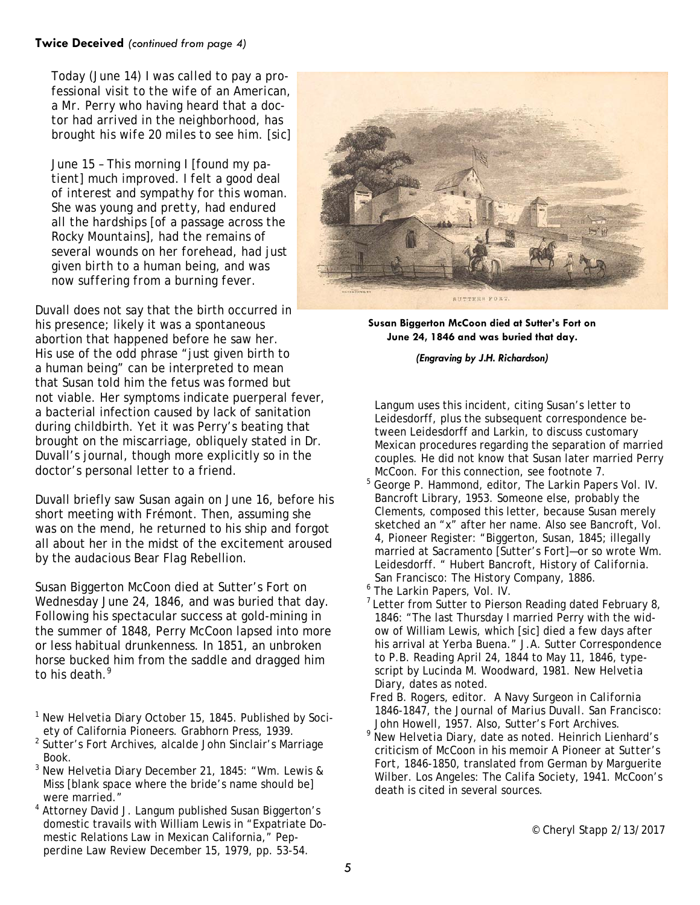*Today (June 14) I was called to pay a professional visit to the wife of an American, a Mr. Perry who having heard that a doctor had arrived in the neighborhood, has brought his wife 20 miles to see him. [sic]* 

*June 15 – This morning I [found my patient] much improved. I felt a good deal of interest and sympathy for this woman. She was young and pretty, had endured all the hardships [of a passage across the Rocky Mountains], had the remains of several wounds on her forehead, had just given birth to a human being, and was now suffering from a burning fever.* 

Duvall does not say that the birth occurred in his presence; likely it was a spontaneous abortion that happened before he saw her. His use of the odd phrase "just given birth to a human being" can be interpreted to mean that Susan told him the fetus was formed but not viable. Her symptoms indicate puerperal fever, a bacterial infection caused by lack of sanitation during childbirth. Yet it was Perry's beating that brought on the miscarriage, obliquely stated in Dr. Duvall's journal, though more explicitly so in the doctor's personal letter to a friend.

Duvall briefly saw Susan again on June 16, before his short meeting with Frémont. Then, assuming she was on the mend, he returned to his ship and forgot all about her in the midst of the excitement aroused by the audacious Bear Flag Rebellion.

Susan Biggerton McCoon died at Sutter's Fort on Wednesday June 24, 1846, and was buried that day. Following his spectacular success at gold-mining in the summer of 1848, Perry McCoon lapsed into more or less habitual drunkenness. In 1851, an unbroken horse bucked him from the saddle and dragged him to his death.<sup>9</sup>

- <sup>1</sup> *New Helvetia Diary* October 15, 1845. Published by Society of California Pioneers. Grabhorn Press, 1939.
- 2 Sutter's Fort Archives, *alcalde* John Sinclair's Marriage Book.
- <sup>3</sup> *New Helvetia Diary* December 21, 1845: "Wm. Lewis & Miss [blank space where the bride's name should be] were married."
- 4 Attorney David J. Langum published Susan Biggerton's domestic travails with William Lewis in "Expatriate Domestic Relations Law in Mexican California," *Pepperdine Law Review* December 15, 1979, pp. 53-54.



**Susan Biggerton McCoon died at Sutter's Fort on June 24, 1846 and was buried that day.** 

*(Engraving by J.H. Richardson)*

Langum uses this incident, citing Susan's letter to Leidesdorff, plus the subsequent correspondence between Leidesdorff and Larkin, to discuss customary Mexican procedures regarding the separation of married couples. He did not know that Susan later married Perry McCoon. For this connection, see footnote 7.

- 5 George P. Hammond, editor, *The Larkin Papers* Vol. IV. Bancroft Library, 1953. Someone else, probably the Clements, composed this letter, because Susan merely sketched an "x" after her name. Also see Bancroft, Vol. 4, Pioneer Register: "Biggerton, Susan, 1845; illegally married at Sacramento [Sutter's Fort]—or so wrote Wm. Leidesdorff. " Hubert Bancroft, *History of California*. San Francisco: The History Company, 1886.
- <sup>6</sup> *The Larkin Papers*, Vol. IV.
- $7$  Letter from Sutter to Pierson Reading dated February 8, 1846: "The last Thursday I married Perry with the widow of William Lewis, which [*sic*] died a few days after his arrival at Yerba Buena." J.A. Sutter Correspondence to P.B. Reading April 24, 1844 to May 11, 1846, typescript by Lucinda M. Woodward, 1981. *New Helvetia Diary,* dates as noted.
- Fred B. Rogers, editor. *A Navy Surgeon in California 1846-1847, the Journal of Marius Duvall*. San Francisco: John Howell, 1957. Also, Sutter's Fort Archives.
- <sup>9</sup> *New Helvetia Diary*, date as noted. Heinrich Lienhard's criticism of McCoon in his memoir *A Pioneer at Sutter's Fort, 1846-1850,* translated from German by Marguerite Wilber. Los Angeles: The Califa Society, 1941. McCoon's death is cited in several sources.